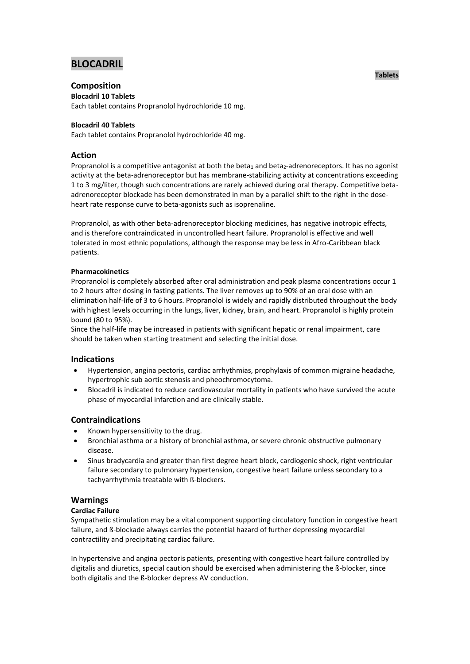# **BLOCADRIL**

## **Composition**

**Blocadril 10 Tablets**

Each tablet contains Propranolol hydrochloride 10 mg.

## **Blocadril 40 Tablets**

Each tablet contains Propranolol hydrochloride 40 mg.

## **Action**

Propranolol is a competitive antagonist at both the beta<sub>1</sub> and beta<sub>2</sub>-adrenoreceptors. It has no agonist activity at the beta-adrenoreceptor but has membrane-stabilizing activity at concentrations exceeding 1 to 3 mg/liter, though such concentrations are rarely achieved during oral therapy. Competitive betaadrenoreceptor blockade has been demonstrated in man by a parallel shift to the right in the doseheart rate response curve to beta-agonists such as isoprenaline.

Propranolol, as with other beta-adrenoreceptor blocking medicines, has negative inotropic effects, and is therefore contraindicated in uncontrolled heart failure. Propranolol is effective and well tolerated in most ethnic populations, although the response may be less in Afro-Caribbean black patients.

## **Pharmacokinetics**

Propranolol is completely absorbed after oral administration and peak plasma concentrations occur 1 to 2 hours after dosing in fasting patients. The liver removes up to 90% of an oral dose with an elimination half-life of 3 to 6 hours. Propranolol is widely and rapidly distributed throughout the body with highest levels occurring in the lungs, liver, kidney, brain, and heart. Propranolol is highly protein bound (80 to 95%).

Since the half-life may be increased in patients with significant hepatic or renal impairment, care should be taken when starting treatment and selecting the initial dose.

## **Indications**

- Hypertension, angina pectoris, cardiac arrhythmias, prophylaxis of common migraine headache, hypertrophic sub aortic stenosis and pheochromocytoma.
- Blocadril is indicated to reduce cardiovascular mortality in patients who have survived the acute phase of myocardial infarction and are clinically stable.

## **Contraindications**

- Known hypersensitivity to the drug.
- Bronchial asthma or a history of bronchial asthma, or severe chronic obstructive pulmonary disease.
- Sinus bradycardia and greater than first degree heart block, cardiogenic shock, right ventricular failure secondary to pulmonary hypertension, congestive heart failure unless secondary to a tachyarrhythmia treatable with ß-blockers.

## **Warnings**

## **Cardiac Failure**

Sympathetic stimulation may be a vital component supporting circulatory function in congestive heart failure, and ß-blockade always carries the potential hazard of further depressing myocardial contractility and precipitating cardiac failure.

In hypertensive and angina pectoris patients, presenting with congestive heart failure controlled by digitalis and diuretics, special caution should be exercised when administering the ß-blocker, since both digitalis and the ß-blocker depress AV conduction.

## **Tablets**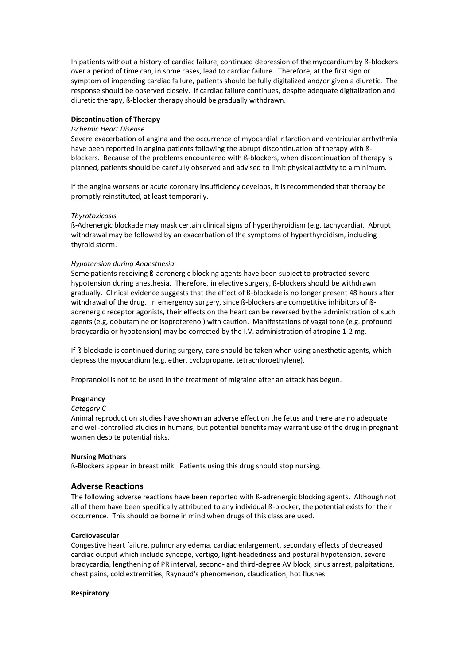In patients without a history of cardiac failure, continued depression of the myocardium by ß-blockers over a period of time can, in some cases, lead to cardiac failure. Therefore, at the first sign or symptom of impending cardiac failure, patients should be fully digitalized and/or given a diuretic. The response should be observed closely. If cardiac failure continues, despite adequate digitalization and diuretic therapy, ß-blocker therapy should be gradually withdrawn.

### **Discontinuation of Therapy**

#### *Ischemic Heart Disease*

Severe exacerbation of angina and the occurrence of myocardial infarction and ventricular arrhythmia have been reported in angina patients following the abrupt discontinuation of therapy with ßblockers. Because of the problems encountered with ß-blockers, when discontinuation of therapy is planned, patients should be carefully observed and advised to limit physical activity to a minimum.

If the angina worsens or acute coronary insufficiency develops, it is recommended that therapy be promptly reinstituted, at least temporarily.

#### *Thyrotoxicosis*

ß-Adrenergic blockade may mask certain clinical signs of hyperthyroidism (e.g. tachycardia). Abrupt withdrawal may be followed by an exacerbation of the symptoms of hyperthyroidism, including thyroid storm.

#### *Hypotension during Anaesthesia*

Some patients receiving ß-adrenergic blocking agents have been subject to protracted severe hypotension during anesthesia. Therefore, in elective surgery, ß-blockers should be withdrawn gradually. Clinical evidence suggests that the effect of ß-blockade is no longer present 48 hours after withdrawal of the drug. In emergency surgery, since ß-blockers are competitive inhibitors of ßadrenergic receptor agonists, their effects on the heart can be reversed by the administration of such agents (e.g, dobutamine or isoproterenol) with caution. Manifestations of vagal tone (e.g. profound bradycardia or hypotension) may be corrected by the I.V. administration of atropine 1-2 mg.

If ß-blockade is continued during surgery, care should be taken when using anesthetic agents, which depress the myocardium (e.g. ether, cyclopropane, tetrachloroethylene).

Propranolol is not to be used in the treatment of migraine after an attack has begun.

#### **Pregnancy**

#### *Category C*

Animal reproduction studies have shown an adverse effect on the fetus and there are no adequate and well-controlled studies in humans, but potential benefits may warrant use of the drug in pregnant women despite potential risks.

#### **Nursing Mothers**

ß-Blockers appear in breast milk. Patients using this drug should stop nursing.

## **Adverse Reactions**

The following adverse reactions have been reported with ß-adrenergic blocking agents. Although not all of them have been specifically attributed to any individual ß-blocker, the potential exists for their occurrence. This should be borne in mind when drugs of this class are used.

## **Cardiovascular**

Congestive heart failure, pulmonary edema, cardiac enlargement, secondary effects of decreased cardiac output which include syncope, vertigo, light-headedness and postural hypotension, severe bradycardia, lengthening of PR interval, second- and third-degree AV block, sinus arrest, palpitations, chest pains, cold extremities, Raynaud's phenomenon, claudication, hot flushes.

#### **Respiratory**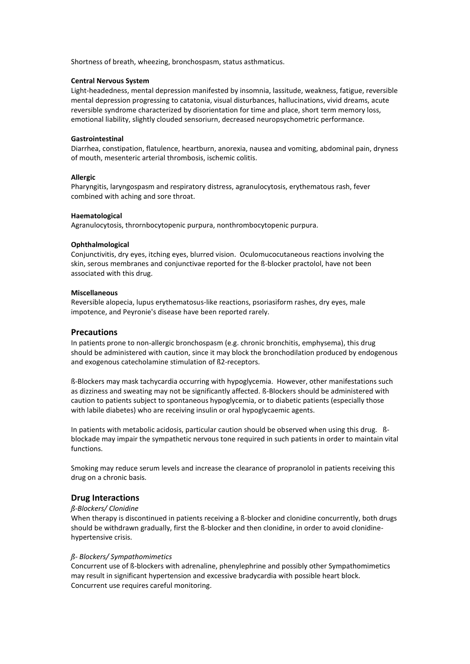Shortness of breath, wheezing, bronchospasm, status asthmaticus.

#### **Central Nervous System**

Light-headedness, mental depression manifested by insomnia, lassitude, weakness, fatigue, reversible mental depression progressing to catatonia, visual disturbances, hallucinations, vivid dreams, acute reversible syndrome characterized by disorientation for time and place, short term memory loss, emotional liability, slightly clouded sensoriurn, decreased neuropsychometric performance.

#### **Gastrointestinal**

Diarrhea, constipation, flatulence, heartburn, anorexia, nausea and vomiting, abdominal pain, dryness of mouth, mesenteric arterial thrombosis, ischemic colitis.

#### **Allergic**

Pharyngitis, laryngospasm and respiratory distress, agranulocytosis, erythematous rash, fever combined with aching and sore throat.

#### **Haematological**

Agranulocytosis, thrornbocytopenic purpura, nonthrombocytopenic purpura.

#### **Ophthalmological**

Conjunctivitis, dry eyes, itching eyes, blurred vision. Oculomucocutaneous reactions involving the skin, serous membranes and conjunctivae reported for the ß-blocker practolol, have not been associated with this drug.

#### **Miscellaneous**

Reversible alopecia, lupus erythematosus-like reactions, psoriasiform rashes, dry eyes, male impotence, and Peyronie's disease have been reported rarely.

### **Precautions**

In patients prone to non-allergic bronchospasm (e.g. chronic bronchitis, emphysema), this drug should be administered with caution, since it may block the bronchodilation produced by endogenous and exogenous catecholamine stimulation of ß2-receptors.

ß-Blockers may mask tachycardia occurring with hypoglycemia. However, other manifestations such as dizziness and sweating may not be significantly affected. ß-Blockers should be administered with caution to patients subject to spontaneous hypoglycemia, or to diabetic patients (especially those with labile diabetes) who are receiving insulin or oral hypoglycaemic agents.

In patients with metabolic acidosis, particular caution should be observed when using this drug. ßblockade may impair the sympathetic nervous tone required in such patients in order to maintain vital functions.

Smoking may reduce serum levels and increase the clearance of propranolol in patients receiving this drug on a chronic basis.

## **Drug Interactions**

## *ß-Blockers/ Clonidine*

When therapy is discontinued in patients receiving a ß-blocker and clonidine concurrently, both drugs should be withdrawn gradually, first the ß-blocker and then clonidine, in order to avoid clonidinehypertensive crisis.

#### *ß- Blockers/ Sympathomimetics*

Concurrent use of ß-blockers with adrenaline, phenylephrine and possibly other Sympathomimetics may result in significant hypertension and excessive bradycardia with possible heart block. Concurrent use requires careful monitoring.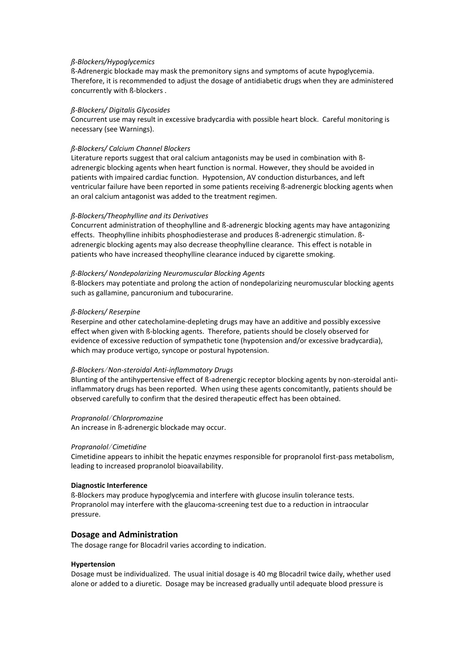#### *ß-Blockers/Hypoglycemics*

ß-Adrenergic blockade may mask the premonitory signs and symptoms of acute hypoglycemia. Therefore, it is recommended to adjust the dosage of antidiabetic drugs when they are administered concurrently with ß-blockers .

#### *ß-Blockers/ Digitalis Glycosides*

Concurrent use may result in excessive bradycardia with possible heart block. Careful monitoring is necessary (see Warnings).

#### *ß-Blockers/ Calcium Channel Blockers*

Literature reports suggest that oral calcium antagonists may be used in combination with  $\beta$ adrenergic blocking agents when heart function is normal. However, they should be avoided in patients with impaired cardiac function. Hypotension, AV conduction disturbances, and left ventricular failure have been reported in some patients receiving ß-adrenergic blocking agents when an oral calcium antagonist was added to the treatment regimen.

#### *ß-Blockers/Theophylline and its Derivatives*

Concurrent administration of theophylline and ß-adrenergic blocking agents may have antagonizing effects. Theophylline inhibits phosphodiesterase and produces ß-adrenergic stimulation. ßadrenergic blocking agents may also decrease theophylline clearance. This effect is notable in patients who have increased theophylline clearance induced by cigarette smoking.

#### *ß-Blockers/ Nondepolarizing Neuromuscular Blocking Agents*

ß-Blockers may potentiate and prolong the action of nondepolarizing neuromuscular blocking agents such as gallamine, pancuronium and tubocurarine.

#### *ß-Blockers/ Reserpine*

Reserpine and other catecholamine-depleting drugs may have an additive and possibly excessive effect when given with ß-blocking agents. Therefore, patients should be closely observed for evidence of excessive reduction of sympathetic tone (hypotension and/or excessive bradycardia), which may produce vertigo, syncope or postural hypotension.

#### *ß-Blockers*/ *Non-steroidal Anti-inflammatory Drugs*

Blunting of the antihypertensive effect of ß-adrenergic receptor blocking agents by non-steroidal antiinflammatory drugs has been reported. When using these agents concomitantly, patients should be observed carefully to confirm that the desired therapeutic effect has been obtained.

#### *Propranolol*/ *Chlorpromazine*

An increase in ß-adrenergic blockade may occur.

#### *Propranolol*/ *Cimetidine*

Cimetidine appears to inhibit the hepatic enzymes responsible for propranolol first-pass metabolism, leading to increased propranolol bioavailability.

#### **Diagnostic Interference**

ß-Blockers may produce hypoglycemia and interfere with glucose insulin tolerance tests. Propranolol may interfere with the glaucoma-screening test due to a reduction in intraocular pressure.

## **Dosage and Administration**

The dosage range for Blocadril varies according to indication.

#### **Hypertension**

Dosage must be individualized. The usual initial dosage is 40 mg Blocadril twice daily, whether used alone or added to a diuretic. Dosage may be increased gradually until adequate blood pressure is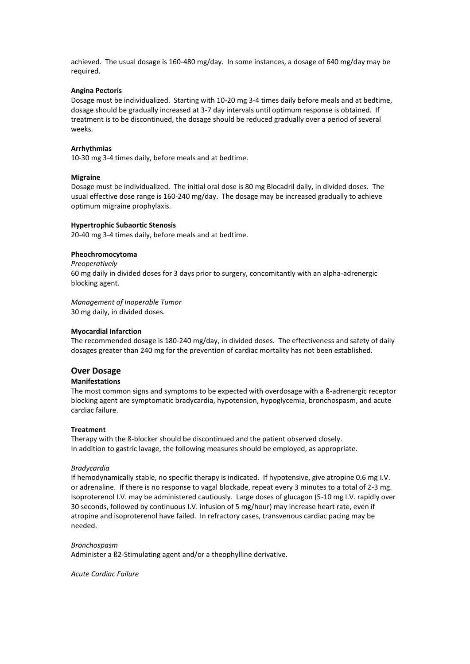achieved. The usual dosage is 160-480 mg/day. In some instances, a dosage of 640 mg/day may be required.

#### **Angina Pectoris**

Dosage must be individualized. Starting with 10-20 mg 3-4 times daily before meals and at bedtime, dosage should be gradually increased at 3-7 day intervals until optimum response is obtained. If treatment is to be discontinued, the dosage should be reduced gradually over a period of several weeks.

#### **Arrhythmias**

10-30 mg 3-4 times daily, before meals and at bedtime.

#### **Migraine**

Dosage must be individualized. The initial oral dose is 80 mg Blocadril daily, in divided doses. The usual effective dose range is 160-240 mg/day. The dosage may be increased gradually to achieve optimum migraine prophylaxis.

#### **Hypertrophic Subaortic Stenosis**

20-40 mg 3-4 times daily, before meals and at bedtime.

#### **Pheochromocytoma**

*Preoperatively* 60 mg daily in divided doses for 3 days prior to surgery, concomitantly with an alpha-adrenergic blocking agent.

*Management of Inoperable Tumor* 30 mg daily, in divided doses.

#### **Myocardial Infarction**

The recommended dosage is 180-240 mg/day, in divided doses. The effectiveness and safety of daily dosages greater than 240 mg for the prevention of cardiac mortality has not been established.

#### **Over Dosage**

#### **Manifestations**

The most common signs and symptoms to be expected with overdosage with a ß-adrenergic receptor blocking agent are symptomatic bradycardia, hypotension, hypoglycemia, bronchospasm, and acute cardiac failure.

#### **Treatment**

Therapy with the ß-blocker should be discontinued and the patient observed closely. In addition to gastric lavage, the following measures should be employed, as appropriate.

#### *Bradycardia*

If hemodynamically stable, no specific therapy is indicated. If hypotensive, give atropine 0.6 mg I.V. or adrenaline. If there is no response to vagal blockade, repeat every 3 minutes to a total of 2-3 mg. Isoproterenol I.V. may be administered cautiously. Large doses of glucagon (5-10 mg I.V. rapidly over 30 seconds, followed by continuous I.V. infusion of 5 mg/hour) may increase heart rate, even if atropine and isoproterenol have failed. In refractory cases, transvenous cardiac pacing may be needed.

#### *Bronchospasm*

Administer a ß2-Stimulating agent and/or a theophylline derivative.

*Acute Cardiac Failure*